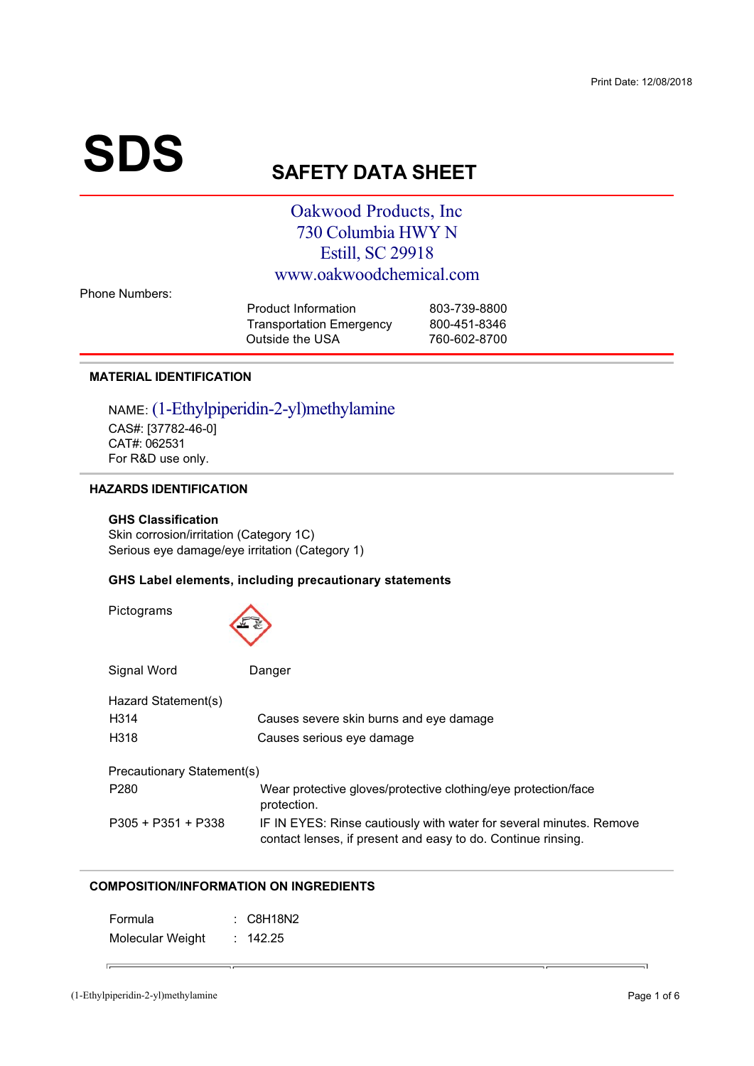# **SDS**

## **SAFETY DATA SHEET**

### Oakwood Products, Inc. 730 Columbia HWY N Estill, SC 29918 www.oakwoodchemical.com

**Phone Numbers:** 

| Product Information             | 803-739-8800 |
|---------------------------------|--------------|
| <b>Transportation Emergency</b> | 800-451-8346 |
| Outside the USA                 | 760-602-8700 |

#### **MATERIAL IDENTIFICATION**

NAME: (1-Ethylpiperidin-2-yl)methylamine CAS#: [37782-46-0] CAT#: 062531 For R&D use only.

#### **HAZARDS IDENTIFICATION**

#### **GHS Classification**

Pictograms

Skin corrosion/irritation (Category 1C) Serious eye damage/eye irritation (Category 1)

 $\lambda$ 

#### GHS Label elements, including precautionary statements

| Signal Word                | Danger                                                                                                                              |
|----------------------------|-------------------------------------------------------------------------------------------------------------------------------------|
| Hazard Statement(s)        |                                                                                                                                     |
| H <sub>3</sub> 14          | Causes severe skin burns and eye damage                                                                                             |
| H318                       | Causes serious eye damage                                                                                                           |
| Precautionary Statement(s) |                                                                                                                                     |
| P <sub>280</sub>           | Wear protective gloves/protective clothing/eye protection/face<br>protection.                                                       |
| $P305 + P351 + P338$       | IF IN EYES: Rinse cautiously with water for several minutes. Remove<br>contact lenses, if present and easy to do. Continue rinsing. |

#### **COMPOSITION/INFORMATION ON INGREDIENTS**

| Formula          | : C8H18N2 |
|------------------|-----------|
| Molecular Weight | : 142.25  |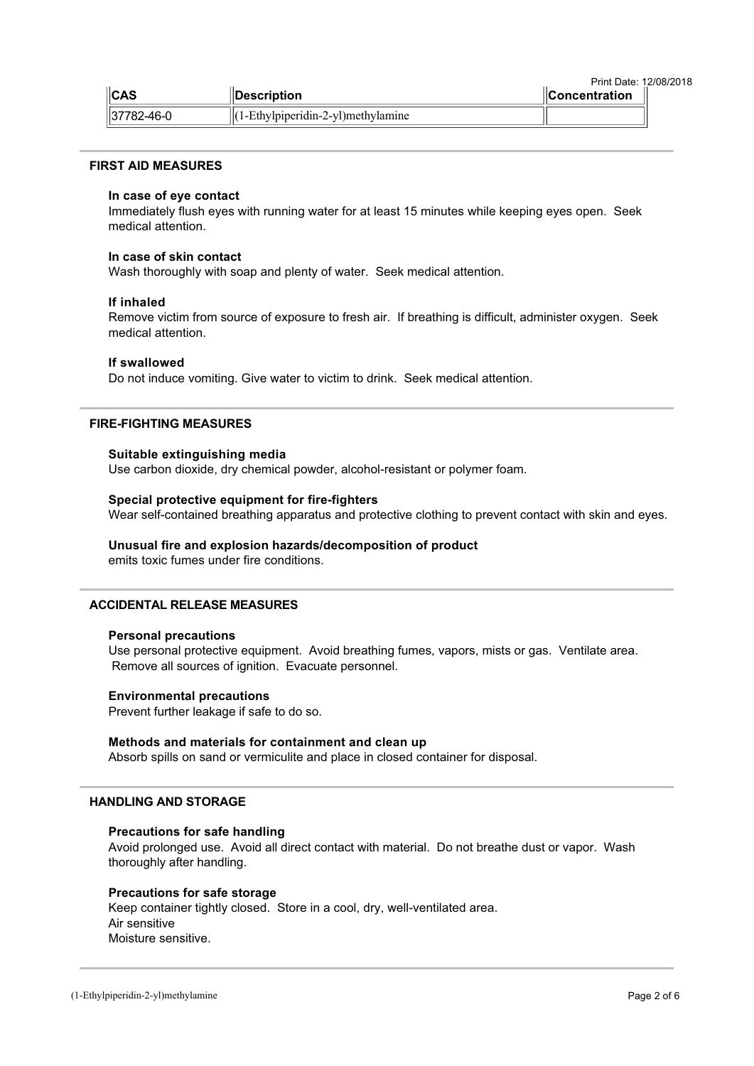| Print Date: 12/08/2018 |                                          |                              |  |  |
|------------------------|------------------------------------------|------------------------------|--|--|
| $\ $ CAS               | <b>IDescription</b>                      | $\blacksquare$ Concentration |  |  |
| 37782-46-0             | $  (1-Ethv1pipieridin-2-v1)$ methylamine |                              |  |  |

#### **FIRST AID MEASURES**

#### In case of eye contact

Immediately flush eyes with running water for at least 15 minutes while keeping eyes open. Seek medical attention.

#### In case of skin contact

Wash thoroughly with soap and plenty of water. Seek medical attention.

#### If inhaled

Remove victim from source of exposure to fresh air. If breathing is difficult, administer oxygen. Seek medical attention.

#### If swallowed

Do not induce vomiting. Give water to victim to drink. Seek medical attention.

#### **FIRE-FIGHTING MEASURES**

#### Suitable extinguishing media

Use carbon dioxide, dry chemical powder, alcohol-resistant or polymer foam.

#### Special protective equipment for fire-fighters

Wear self-contained breathing apparatus and protective clothing to prevent contact with skin and eyes.

#### Unusual fire and explosion hazards/decomposition of product

emits toxic fumes under fire conditions.

#### **ACCIDENTAL RELEASE MEASURES**

#### **Personal precautions**

Use personal protective equipment. Avoid breathing fumes, vapors, mists or gas. Ventilate area. Remove all sources of ignition. Evacuate personnel.

#### **Environmental precautions**

Prevent further leakage if safe to do so.

#### Methods and materials for containment and clean up

Absorb spills on sand or vermiculite and place in closed container for disposal.

#### **HANDLING AND STORAGE**

#### Precautions for safe handling

Avoid prolonged use. Avoid all direct contact with material. Do not breathe dust or vapor. Wash thoroughly after handling.

#### **Precautions for safe storage**

Keep container tightly closed. Store in a cool, dry, well-ventilated area. Air sensitive Moisture sensitive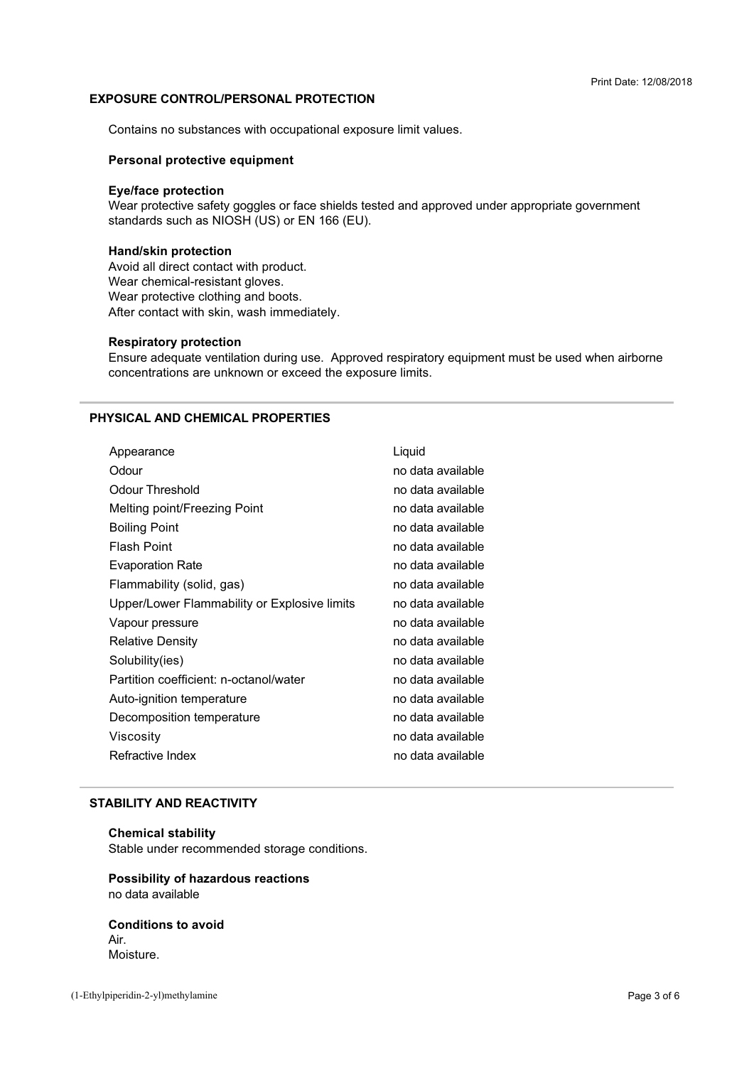#### **EXPOSURE CONTROL/PERSONAL PROTECTION**

+

? 3A
 3 <3 
4

#### **Personal protective equipment**

#### **Eye/face protection**

 $\frac{1}{2}$  standards such as NIOSH (US) or EN 166 (EU).

#### **Hand/skin protection**

Avoid all direct contact with product.<br>Wear chemical-resistant gloves. Mear protective clothing and bo After contact with skin wash immer and contain the case, accommodately.

#### **Respiratory protection**

concentrations are unknown or exceed the exposure limits. 
 5?AA
 3

#### PHYSICAL AND CHEMICAL PROPERTIES

| Appearance                                   | Liquid            |
|----------------------------------------------|-------------------|
| Odour                                        | no data available |
| Odour Threshold                              | no data available |
| Melting point/Freezing Point                 | no data available |
| <b>Boiling Point</b>                         | no data available |
| <b>Flash Point</b>                           | no data available |
| <b>Evaporation Rate</b>                      | no data available |
| Flammability (solid, gas)                    | no data available |
| Upper/Lower Flammability or Explosive limits | no data available |
| Vapour pressure                              | no data available |
| <b>Relative Density</b>                      | no data available |
| Solubility(ies)                              | no data available |
| Partition coefficient: n-octanol/water       | no data available |
| Auto-ignition temperature                    | no data available |
| Decomposition temperature                    | no data available |
| Viscosity                                    | no data available |
| Refractive Index                             | no data available |
|                                              |                   |

#### **STABILITY AND REACTIVITY**

#### **Chemical stability**

Stable under recommended storage conditions.<br>'

## **Possibility of hazardous reactions**

**Conditions to avoid** Air. Moisture.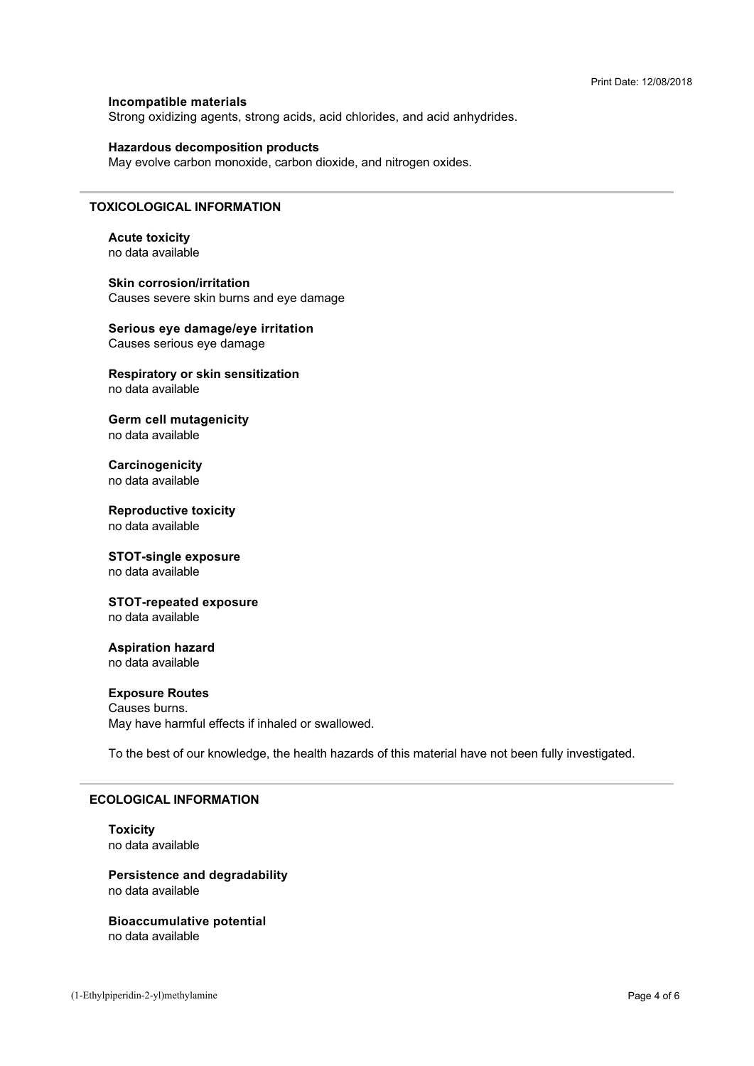#### Incompatible materials Strong oxidizing agents, strong acids, acid chlorides, and acid anhydrides.

#### **Hazardous decomposition products**

May evolve carbon monoxide, carbon dioxide, and nitrogen oxides.

#### **TOXICOLOGICAL INFORMATION**

**Acute toxicity** no data available

**Skin corrosion/irritation** Causes severe skin burns and eye damage

Serious eye damage/eye irritation Causes serious eye damage

#### Respiratory or skin sensitization no data available

**Germ cell mutagenicity** no data available

Carcinogenicity no data available

**Reproductive toxicity** no data available

#### **STOT-single exposure** no data available

**STOT-repeated exposure** no data available

#### **Aspiration hazard** no data available

#### **Exposure Routes**

Causes burns. May have harmful effects if inhaled or swallowed.

To the best of our knowledge, the health hazards of this material have not been fully investigated.

#### **ECOLOGICAL INFORMATION**

#### **Toxicity** no data available

**Persistence and degradability** no data available

**Bioaccumulative potential** no data available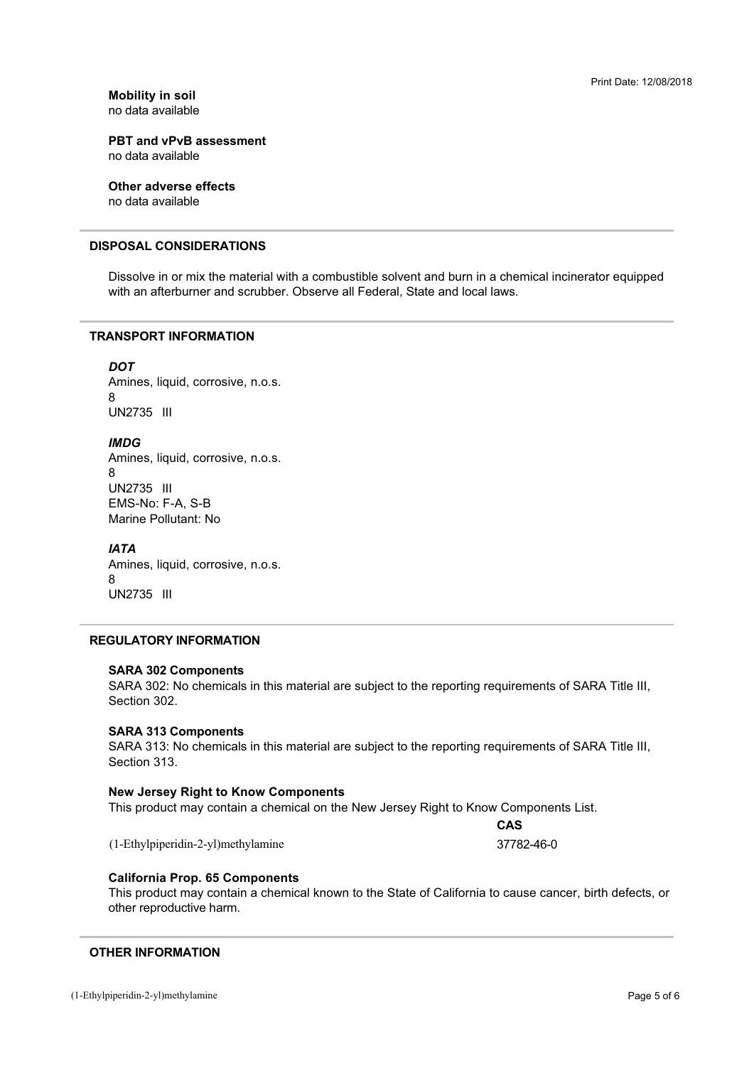**Mobility in soil** 

**PBT and vPvB assessment** 

**Other adverse effects** 

#### **DISPOSAL CONSIDERATIONS**

Exercise the Communication and Communicative Communication and Surface Service of the Communication na manazarta ya poppem

#### **TRANSPORT INFORMATION**

#### **DOT**

 $\mathsf{R}$ Amines, liquid, corrosive, n.o.s. UN2735 III

#### **IMDG**

 $\mathsf{R}$ Amines, liquid, corrosive, n.o.s. UN2735 III EMS-No: F-A, S-B<br>Marine Pollutant: N

#### **IATA**

Amines, liquid, corrosive, n.o.s.<br>8  $\frac{1}{4}$  and  $\frac{1}{4}$  and  $\frac{1}{4}$  and  $\frac{1}{4}$  and  $\frac{1}{4}$  and  $\frac{1}{4}$  and  $\frac{1}{4}$  and  $\frac{1}{4}$  and  $\frac{1}{4}$  and  $\frac{1}{4}$  and  $\frac{1}{4}$  and  $\frac{1}{4}$  and  $\frac{1}{4}$  and  $\frac{1}{4}$  and  $\frac{1}{4}$  and  $\frac{1}{4}$  a UN2735 III

#### **REGULATORY INFORMATION**

#### **SARA 302 Components**

SARA 302: No chemicals in this material are subject to the reporting requirements of SARA Title III,<br>Section 302 Section 302.

#### **SARA 313 Components**

SARA 313: No chemicals in this material are subject to the reporting requirements of SARA Title III,<br>Section 313 Section 313

#### **New Jersey Right to Know Components**

 3?I
 0E?+ F
4

(1-Ethylpiperidin-2-yl)methylamine

37782-46-0

CAS

#### **California Prop. 65 Components**

other reproductive harm This product may contain a chemical known to the State of California to cause cancer, birth defects, or the contract of the contract of the contract of the contract of the contract of the contract of the contract of the contract of the contract of the contract of the contract of the contract of the contract of the contract o

#### **OTHER INFORMATION**